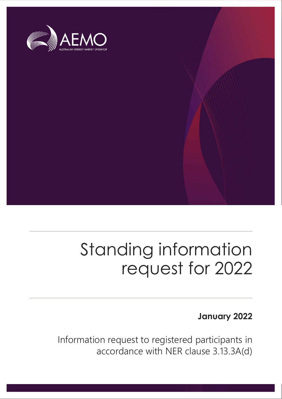

## Standing information request for 2022

## **January 2022**

Information request to registered participants in accordance with NER clause 3.13.3A(d)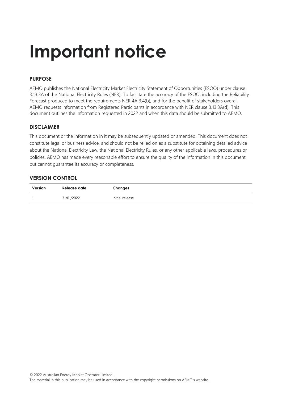## **Important notice**

## **PURPOSE**

AEMO publishes the National Electricity Market Electricity Statement of Opportunities (ESOO) under clause 3.13.3A of the National Electricity Rules (NER). To facilitate the accuracy of the ESOO, including the Reliability Forecast produced to meet the requirements NER 4A.B.4(b), and for the benefit of stakeholders overall, AEMO requests information from Registered Participants in accordance with NER clause 3.13.3A(d). This document outlines the information requested in 2022 and when this data should be submitted to AEMO.

## **DISCLAIMER**

This document or the information in it may be subsequently updated or amended. This document does not constitute legal or business advice, and should not be relied on as a substitute for obtaining detailed advice about the National Electricity Law, the National Electricity Rules, or any other applicable laws, procedures or policies. AEMO has made every reasonable effort to ensure the quality of the information in this document but cannot guarantee its accuracy or completeness.

## **VERSION CONTROL**

| Version | Release date | Changes         |
|---------|--------------|-----------------|
|         | 31/01/2022   | Initial release |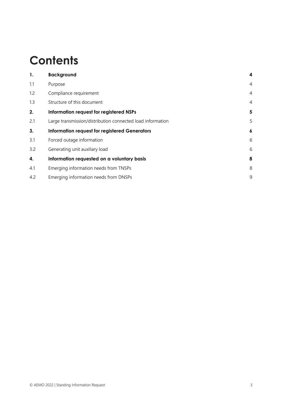## **Contents**

| 1.  | <b>Background</b>                                          | 4              |
|-----|------------------------------------------------------------|----------------|
| 1.1 | Purpose                                                    | $\overline{4}$ |
| 1.2 | Compliance requirement                                     | $\overline{4}$ |
| 1.3 | Structure of this document                                 | $\overline{4}$ |
| 2.  | Information request for registered NSPs                    | 5              |
| 2.1 | Large transmission/distribution connected load information | 5              |
| 3.  | <b>Information request for registered Generators</b>       | 6              |
| 3.1 | Forced outage information                                  | 6              |
| 3.2 | Generating unit auxiliary load                             | 6              |
| 4.  | Information requested on a voluntary basis                 | 8              |
| 4.1 | Emerging information needs from TNSPs                      | 8              |
| 4.2 | Emerging information needs from DNSPs                      | 9              |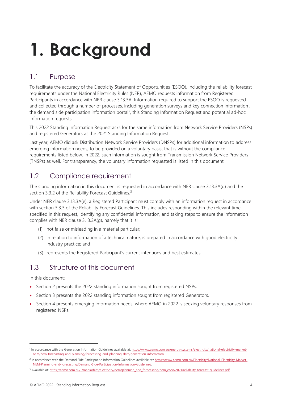# <span id="page-3-0"></span>**1. Background**

## <span id="page-3-1"></span>1.1 Purpose

To facilitate the accuracy of the Electricity Statement of Opportunities (ESOO), including the reliability forecast requirements under the National Electricity Rules (NER), AEMO requests information from Registered Participants in accordance with NER clause 3.13.3A. Information required to support the ESOO is requested and collected through a number of processes, including generation surveys and key connection information<sup>1</sup>, the demand side participation information portal<sup>2</sup>, this Standing Information Request and potential ad-hoc information requests.

This 2022 Standing Information Request asks for the same information from Network Service Providers (NSPs) and registered Generators as the 2021 Standing Information Request.

Last year, AEMO did ask Distribution Network Service Providers (DNSPs) for additional information to address emerging information needs, to be provided on a voluntary basis, that is without the compliance requirements listed below. In 2022, such information is sought from Transmission Network Service Providers (TNSPs) as well. For transparency, the voluntary information requested is listed in this document.

## <span id="page-3-2"></span>1.2 Compliance requirement

The standing information in this document is requested in accordance with NER clause 3.13.3A(d) and the section 3.3.2 of the Reliability Forecast Guidelines.<sup>3</sup>

Under NER clause 3.13.3A(e), a Registered Participant must comply with an information request in accordance with section 3.3.3 of the Reliability Forecast Guidelines. This includes responding within the relevant time specified in this request, identifying any confidential information, and taking steps to ensure the information complies with NER clause 3.13.3A(g), namely that it is:

- (1) not false or misleading in a material particular;
- (2) in relation to information of a technical nature, is prepared in accordance with good electricity industry practice; and
- (3) represents the Registered Participant's current intentions and best estimates.

## <span id="page-3-3"></span>1.3 Structure of this document

In this document:

- Section 2 presents the 2022 standing information sought from registered NSPs.
- Section 3 presents the 2022 standing information sought from registered Generators.
- Section 4 presents emerging information needs, where AEMO in 2022 is seeking voluntary responses from registered NSPs.

<sup>&</sup>lt;sup>1</sup> In accordance with the Generation Information Guidelines available at[: https://www.aemo.com.au/energy-systems/electricity/national-electricity-market](https://www.aemo.com.au/energy-systems/electricity/national-electricity-market-nem/nem-forecasting-and-planning/forecasting-and-planning-data/generation-information)[nem/nem-forecasting-and-planning/forecasting-and-planning-data/generation-information.](https://www.aemo.com.au/energy-systems/electricity/national-electricity-market-nem/nem-forecasting-and-planning/forecasting-and-planning-data/generation-information)

<sup>&</sup>lt;sup>2</sup> In accordance with the Demand Side Participation Information Guidelines available at:: [https://www.aemo.com.au/Electricity/National-Electricity-Market-](https://www.aemo.com.au/Electricity/National-Electricity-Market-NEM/Planning-and-forecasting/Demand-Side-Participation-Information-Guidelines)[NEM/Planning-and-forecasting/Demand-Side-Participation-Information-Guidelines.](https://www.aemo.com.au/Electricity/National-Electricity-Market-NEM/Planning-and-forecasting/Demand-Side-Participation-Information-Guidelines)

<sup>&</sup>lt;sup>3</sup> Available at: [https://aemo.com.au/-/media/files/electricity/nem/planning\\_and\\_forecasting/nem\\_esoo/2021/reliability-forecast-guidelines.pdf.](https://aemo.com.au/-/media/files/electricity/nem/planning_and_forecasting/nem_esoo/2021/reliability-forecast-guidelines.pdf)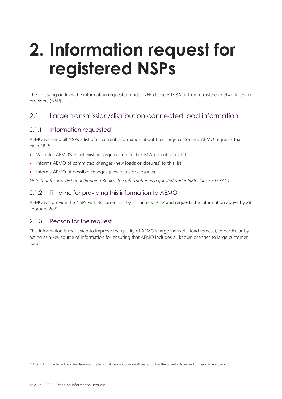## <span id="page-4-0"></span>**2. Information request for registered NSPs**

The following outlines the information requested under NER clause 3.13.3A(d) from registered network service providers (NSP).

## <span id="page-4-1"></span>2.1 Large transmission/distribution connected load information

## 2.1.1 Information requested

AEMO will send all NSPs a list of its current information about their large customers. AEMO requests that each NSP:

- Validates AEMO's list of existing large customers (> 5 MW potential peak<sup>4</sup>)
- Informs AEMO of committed changes (new loads or closures) to this list
- Informs AEMO of possible changes (new loads or closures)

*Note that for Jurisdictional Planning Bodies, the information is requested under NER clause 3.13.3A(c).*

## 2.1.2 Timeline for providing this information to AEMO

AEMO will provide the NSPs with its current list by 31 January 2022 and requests the information above by 28 February 2022.

## 2.1.3 Reason for the request

This information is requested to improve the quality of AEMO's large industrial load forecast, in particular by acting as a key source of information for ensuring that AEMO includes all known changes to large customer loads.

<sup>4</sup> This will include large loads like desalination plants that may not operate all years, but has the potential to exceed this level when operating.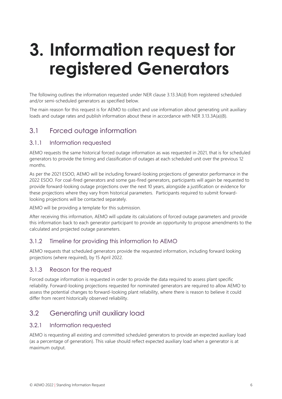## <span id="page-5-0"></span>**3. Information request for registered Generators**

The following outlines the information requested under NER clause 3.13.3A(d) from registered scheduled and/or semi-scheduled generators as specified below.

The main reason for this request is for AEMO to collect and use information about generating unit auxiliary loads and outage rates and publish information about these in accordance with NER 3.13.3A(a)(8).

## <span id="page-5-1"></span>3.1 Forced outage information

## 3.1.1 Information requested

AEMO requests the same historical forced outage information as was requested in 2021, that is for scheduled generators to provide the timing and classification of outages at each scheduled unit over the previous 12 months.

As per the 2021 ESOO, AEMO will be including forward-looking projections of generator performance in the 2022 ESOO. For coal-fired generators and some gas-fired generators, participants will again be requested to provide forward-looking outage projections over the next 10 years, alongside a justification or evidence for these projections where they vary from historical parameters. Participants required to submit forwardlooking projections will be contacted separately.

AEMO will be providing a template for this submission.

After receiving this information, AEMO will update its calculations of forced outage parameters and provide this information back to each generator participant to provide an opportunity to propose amendments to the calculated and projected outage parameters.

## 3.1.2 Timeline for providing this information to AEMO

AEMO requests that scheduled generators provide the requested information, including forward looking projections (where required), by 15 April 2022.

## 3.1.3 Reason for the request

Forced outage information is requested in order to provide the data required to assess plant specific reliability. Forward-looking projections requested for nominated generators are required to allow AEMO to assess the potential changes to forward-looking plant reliability, where there is reason to believe it could differ from recent historically observed reliability.

## <span id="page-5-2"></span>3.2 Generating unit auxiliary load

## 3.2.1 Information requested

AEMO is requesting all existing and committed scheduled generators to provide an expected auxiliary load (as a percentage of generation). This value should reflect expected auxiliary load when a generator is at maximum output.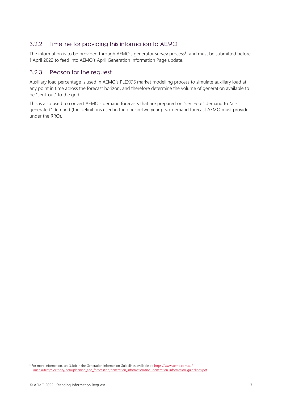## 3.2.2 Timeline for providing this information to AEMO

The information is to be provided through AEMO's generator survey process<sup>5</sup>, and must be submitted before 1 April 2022 to feed into AEMO's April Generation Information Page update.

## 3.2.3 Reason for the request

Auxiliary load percentage is used in AEMO's PLEXOS market modelling process to simulate auxiliary load at any point in time across the forecast horizon, and therefore determine the volume of generation available to be "sent-out" to the grid.

This is also used to convert AEMO's demand forecasts that are prepared on "sent-out" demand to "asgenerated" demand (the definitions used in the one-in-two year peak demand forecast AEMO must provide under the RRO).

<sup>&</sup>lt;sup>5</sup> For more information, see 3.1(d) in the Generation Information Guidelines available at[: https://www.aemo.com.au/-](https://www.aemo.com.au/-/media/files/electricity/nem/planning_and_forecasting/generation_information/final-generation-information-guidelines.pdf) [/media/files/electricity/nem/planning\\_and\\_forecasting/generation\\_information/final-generation-information-guidelines.pdf.](https://www.aemo.com.au/-/media/files/electricity/nem/planning_and_forecasting/generation_information/final-generation-information-guidelines.pdf)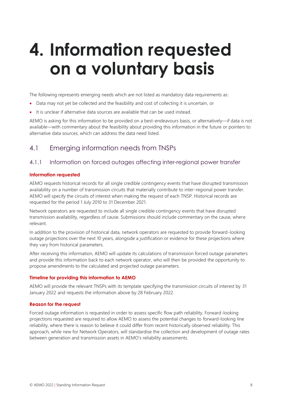## <span id="page-7-0"></span>**4. Information requested on a voluntary basis**

The following represents emerging needs which are not listed as mandatory data requirements as:

- Data may not yet be collected and the feasibility and cost of collecting it is uncertain, or
- It is unclear if alternative data sources are available that can be used instead.

AEMO is asking for this information to be provided on a best-endeavours basis, or alternatively—if data is not available—with commentary about the feasibility about providing this information in the future or pointers to alternative data sources, which can address the data need listed.

## <span id="page-7-1"></span>4.1 Emerging information needs from TNSPs

### 4.1.1 Information on forced outages affecting inter-regional power transfer

#### **Information requested**

AEMO requests historical records for all single credible contingency events that have disrupted transmission availability on a number of transmission circuits that materially contribute to inter-regional power transfer. AEMO will specify the circuits of interest when making the request of each TNSP. Historical records are requested for the period 1 July 2010 to 31 December 2021.

Network operators are requested to include all single credible contingency events that have disrupted transmission availability, regardless of cause. Submissions should include commentary on the cause, where relevant.

In addition to the provision of historical data, network operators are requested to provide forward-looking outage projections over the next 10 years, alongside a justification or evidence for these projections where they vary from historical parameters.

After receiving this information, AEMO will update its calculations of transmission forced outage parameters and provide this information back to each network operator, who will then be provided the opportunity to propose amendments to the calculated and projected outage parameters.

#### **Timeline for providing this information to AEMO**

AEMO will provide the relevant TNSPs with its template specifying the transmission circuits of interest by 31 January 2022 and requests the information above by 28 February 2022.

#### **Reason for the request**

Forced outage information is requested in order to assess specific flow path reliability. Forward-looking projections requested are required to allow AEMO to assess the potential changes to forward-looking line reliability, where there is reason to believe it could differ from recent historically observed reliability. This approach, while new for Network Operators, will standardise the collection and development of outage rates between generation and transmission assets in AEMO's reliability assessments.